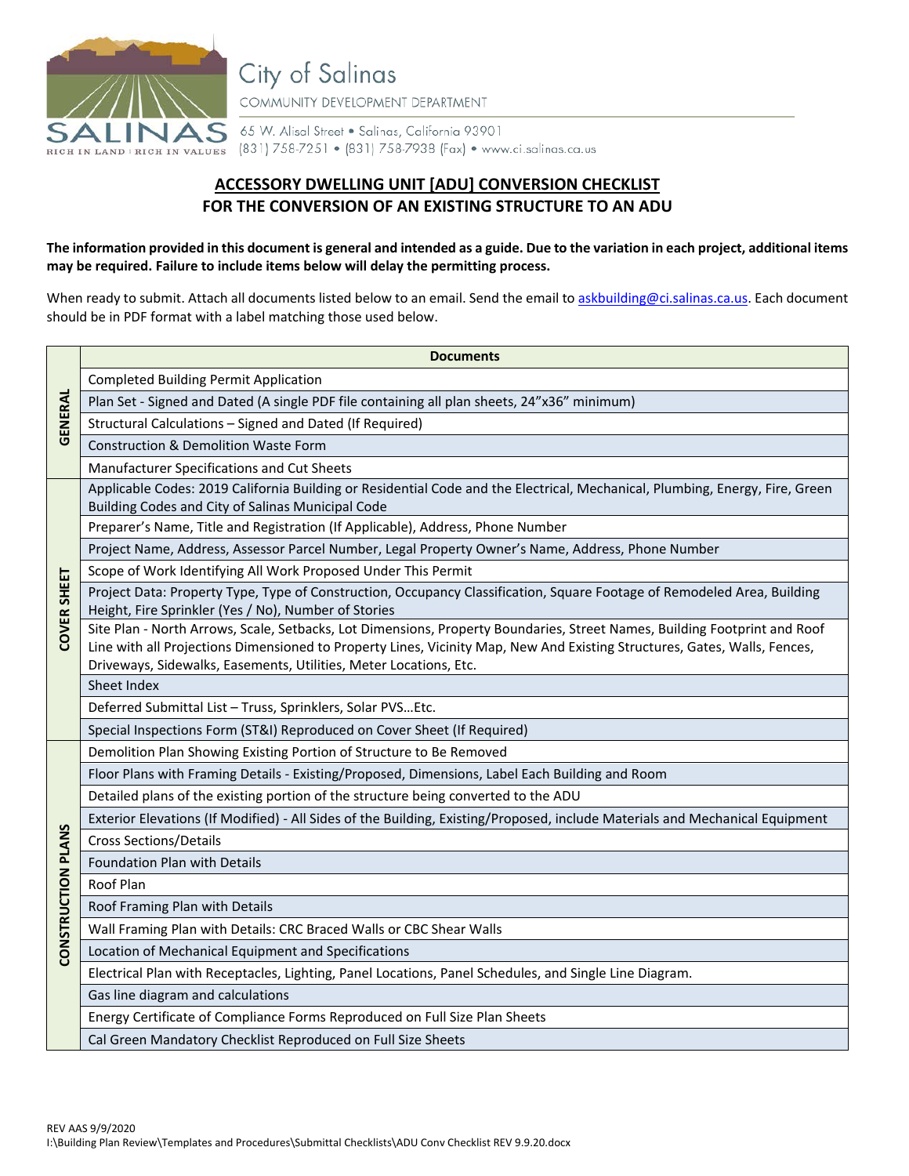

City of Salinas COMMUNITY DEVELOPMENT DEPARTMENT

65 W. Alisal Street . Salinas, California 93901 RIGH IN LAND | RIGH IN VALUES (831) 758-7251 • (831) 758-7938 (Fax) • www.ci.salinas.ca.us

## **ACCESSORY DWELLING UNIT [ADU] CONVERSION CHECKLIST FOR THE CONVERSION OF AN EXISTING STRUCTURE TO AN ADU**

## **The information provided in this document is general and intended as a guide. Due to the variation in each project, additional items may be required. Failure to include items below will delay the permitting process.**

When ready to submit. Attach all documents listed below to an email. Send the email t[o askbuilding@ci.salinas.ca.us.](mailto:askbuilding@ci.salinas.ca.us) Each document should be in PDF format with a label matching those used below.

|                           | <b>Documents</b>                                                                                                                                                                                                                                                                                                            |
|---------------------------|-----------------------------------------------------------------------------------------------------------------------------------------------------------------------------------------------------------------------------------------------------------------------------------------------------------------------------|
|                           | <b>Completed Building Permit Application</b>                                                                                                                                                                                                                                                                                |
| <b>GENERAL</b>            | Plan Set - Signed and Dated (A single PDF file containing all plan sheets, 24"x36" minimum)                                                                                                                                                                                                                                 |
|                           | Structural Calculations - Signed and Dated (If Required)                                                                                                                                                                                                                                                                    |
|                           | <b>Construction &amp; Demolition Waste Form</b>                                                                                                                                                                                                                                                                             |
|                           | Manufacturer Specifications and Cut Sheets                                                                                                                                                                                                                                                                                  |
|                           | Applicable Codes: 2019 California Building or Residential Code and the Electrical, Mechanical, Plumbing, Energy, Fire, Green                                                                                                                                                                                                |
|                           | Building Codes and City of Salinas Municipal Code                                                                                                                                                                                                                                                                           |
|                           | Preparer's Name, Title and Registration (If Applicable), Address, Phone Number                                                                                                                                                                                                                                              |
|                           | Project Name, Address, Assessor Parcel Number, Legal Property Owner's Name, Address, Phone Number                                                                                                                                                                                                                           |
|                           | Scope of Work Identifying All Work Proposed Under This Permit                                                                                                                                                                                                                                                               |
| <b>COVER SHEET</b>        | Project Data: Property Type, Type of Construction, Occupancy Classification, Square Footage of Remodeled Area, Building<br>Height, Fire Sprinkler (Yes / No), Number of Stories                                                                                                                                             |
|                           | Site Plan - North Arrows, Scale, Setbacks, Lot Dimensions, Property Boundaries, Street Names, Building Footprint and Roof<br>Line with all Projections Dimensioned to Property Lines, Vicinity Map, New And Existing Structures, Gates, Walls, Fences,<br>Driveways, Sidewalks, Easements, Utilities, Meter Locations, Etc. |
|                           | Sheet Index                                                                                                                                                                                                                                                                                                                 |
|                           | Deferred Submittal List - Truss, Sprinklers, Solar PVSEtc.                                                                                                                                                                                                                                                                  |
|                           | Special Inspections Form (ST&I) Reproduced on Cover Sheet (If Required)                                                                                                                                                                                                                                                     |
|                           | Demolition Plan Showing Existing Portion of Structure to Be Removed                                                                                                                                                                                                                                                         |
|                           | Floor Plans with Framing Details - Existing/Proposed, Dimensions, Label Each Building and Room                                                                                                                                                                                                                              |
|                           | Detailed plans of the existing portion of the structure being converted to the ADU                                                                                                                                                                                                                                          |
|                           | Exterior Elevations (If Modified) - All Sides of the Building, Existing/Proposed, include Materials and Mechanical Equipment                                                                                                                                                                                                |
|                           | <b>Cross Sections/Details</b>                                                                                                                                                                                                                                                                                               |
| <b>CONSTRUCTION PLANS</b> | Foundation Plan with Details                                                                                                                                                                                                                                                                                                |
|                           | Roof Plan                                                                                                                                                                                                                                                                                                                   |
|                           | Roof Framing Plan with Details                                                                                                                                                                                                                                                                                              |
|                           | Wall Framing Plan with Details: CRC Braced Walls or CBC Shear Walls                                                                                                                                                                                                                                                         |
|                           | Location of Mechanical Equipment and Specifications                                                                                                                                                                                                                                                                         |
|                           | Electrical Plan with Receptacles, Lighting, Panel Locations, Panel Schedules, and Single Line Diagram.                                                                                                                                                                                                                      |
|                           | Gas line diagram and calculations                                                                                                                                                                                                                                                                                           |
|                           | Energy Certificate of Compliance Forms Reproduced on Full Size Plan Sheets                                                                                                                                                                                                                                                  |
|                           | Cal Green Mandatory Checklist Reproduced on Full Size Sheets                                                                                                                                                                                                                                                                |